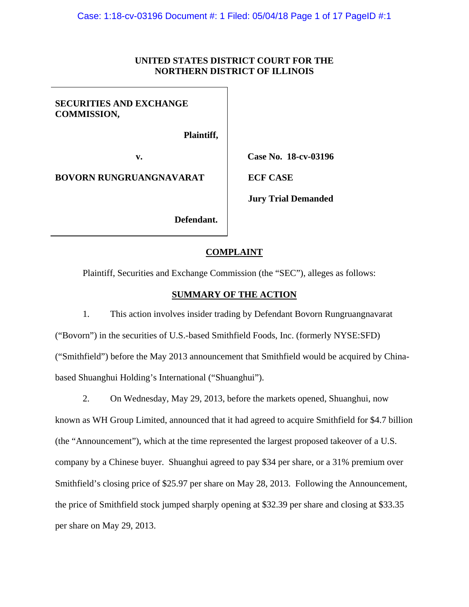# **UNITED STATES DISTRICT COURT FOR THE NORTHERN DISTRICT OF ILLINOIS**

# **SECURITIES AND EXCHANGE COMMISSION,**

 **Plaintiff,** 

**BOVORN RUNGRUANGNAVARAT LECF CASE** 

**v. Case No. 18-cv-03196** 

**Jury Trial Demanded** 

 **Defendant.** 

# **COMPLAINT**

Plaintiff, Securities and Exchange Commission (the "SEC"), alleges as follows:

# **SUMMARY OF THE ACTION**

1. This action involves insider trading by Defendant Bovorn Rungruangnavarat ("Bovorn") in the securities of U.S.-based Smithfield Foods, Inc. (formerly NYSE:SFD) ("Smithfield") before the May 2013 announcement that Smithfield would be acquired by Chinabased Shuanghui Holding's International ("Shuanghui").

2. On Wednesday, May 29, 2013, before the markets opened, Shuanghui, now known as WH Group Limited, announced that it had agreed to acquire Smithfield for \$4.7 billion (the "Announcement"), which at the time represented the largest proposed takeover of a U.S. company by a Chinese buyer. Shuanghui agreed to pay \$34 per share, or a 31% premium over Smithfield's closing price of \$25.97 per share on May 28, 2013. Following the Announcement, the price of Smithfield stock jumped sharply opening at \$32.39 per share and closing at \$33.35 per share on May 29, 2013.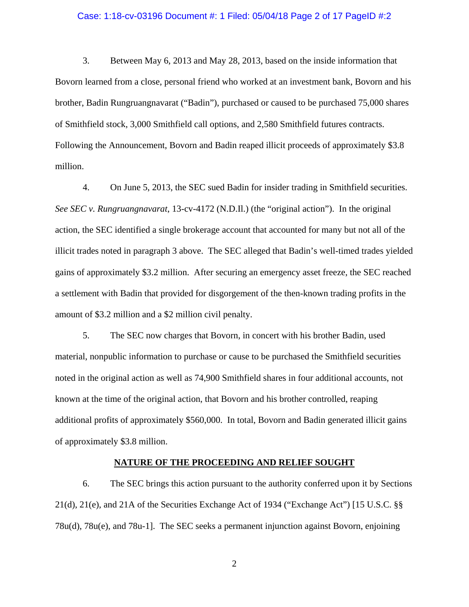### Case: 1:18-cv-03196 Document #: 1 Filed: 05/04/18 Page 2 of 17 PageID #:2

3. Between May 6, 2013 and May 28, 2013, based on the inside information that Bovorn learned from a close, personal friend who worked at an investment bank, Bovorn and his brother, Badin Rungruangnavarat ("Badin"), purchased or caused to be purchased 75,000 shares of Smithfield stock, 3,000 Smithfield call options, and 2,580 Smithfield futures contracts. Following the Announcement, Bovorn and Badin reaped illicit proceeds of approximately \$3.8 million.

4. On June 5, 2013, the SEC sued Badin for insider trading in Smithfield securities. *See SEC v. Rungruangnavarat*, 13-cv-4172 (N.D.Il.) (the "original action"). In the original action, the SEC identified a single brokerage account that accounted for many but not all of the illicit trades noted in paragraph 3 above. The SEC alleged that Badin's well-timed trades yielded gains of approximately \$3.2 million. After securing an emergency asset freeze, the SEC reached a settlement with Badin that provided for disgorgement of the then-known trading profits in the amount of \$3.2 million and a \$2 million civil penalty.

5. The SEC now charges that Bovorn, in concert with his brother Badin, used material, nonpublic information to purchase or cause to be purchased the Smithfield securities noted in the original action as well as 74,900 Smithfield shares in four additional accounts, not known at the time of the original action, that Bovorn and his brother controlled, reaping additional profits of approximately \$560,000. In total, Bovorn and Badin generated illicit gains of approximately \$3.8 million.

### **NATURE OF THE PROCEEDING AND RELIEF SOUGHT**

6. The SEC brings this action pursuant to the authority conferred upon it by Sections 21(d), 21(e), and 21A of the Securities Exchange Act of 1934 ("Exchange Act") [15 U.S.C. §§ 78u(d), 78u(e), and 78u-1]. The SEC seeks a permanent injunction against Bovorn, enjoining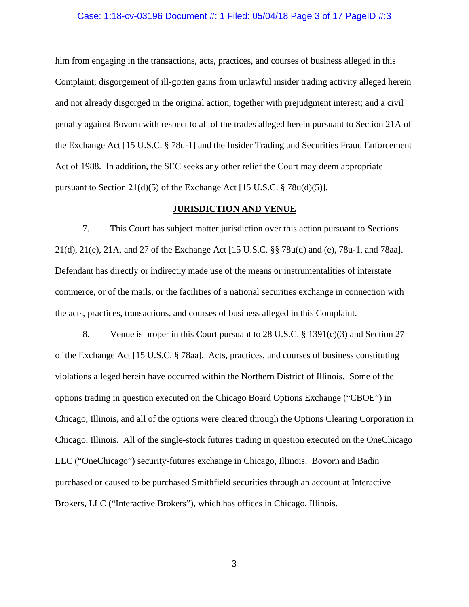### Case: 1:18-cv-03196 Document #: 1 Filed: 05/04/18 Page 3 of 17 PageID #:3

him from engaging in the transactions, acts, practices, and courses of business alleged in this Complaint; disgorgement of ill-gotten gains from unlawful insider trading activity alleged herein and not already disgorged in the original action, together with prejudgment interest; and a civil penalty against Bovorn with respect to all of the trades alleged herein pursuant to Section 21A of the Exchange Act [15 U.S.C. § 78u-1] and the Insider Trading and Securities Fraud Enforcement Act of 1988. In addition, the SEC seeks any other relief the Court may deem appropriate pursuant to Section 21(d)(5) of the Exchange Act [15 U.S.C.  $\S$  78u(d)(5)].

# **JURISDICTION AND VENUE**

7. This Court has subject matter jurisdiction over this action pursuant to Sections 21(d), 21(e), 21A, and 27 of the Exchange Act [15 U.S.C. §§ 78u(d) and (e), 78u-1, and 78aa]. Defendant has directly or indirectly made use of the means or instrumentalities of interstate commerce, or of the mails, or the facilities of a national securities exchange in connection with the acts, practices, transactions, and courses of business alleged in this Complaint.

8. Venue is proper in this Court pursuant to 28 U.S.C. § 1391(c)(3) and Section 27 of the Exchange Act [15 U.S.C. § 78aa]. Acts, practices, and courses of business constituting violations alleged herein have occurred within the Northern District of Illinois. Some of the options trading in question executed on the Chicago Board Options Exchange ("CBOE") in Chicago, Illinois, and all of the options were cleared through the Options Clearing Corporation in Chicago, Illinois. All of the single-stock futures trading in question executed on the OneChicago LLC ("OneChicago") security-futures exchange in Chicago, Illinois. Bovorn and Badin purchased or caused to be purchased Smithfield securities through an account at Interactive Brokers, LLC ("Interactive Brokers"), which has offices in Chicago, Illinois.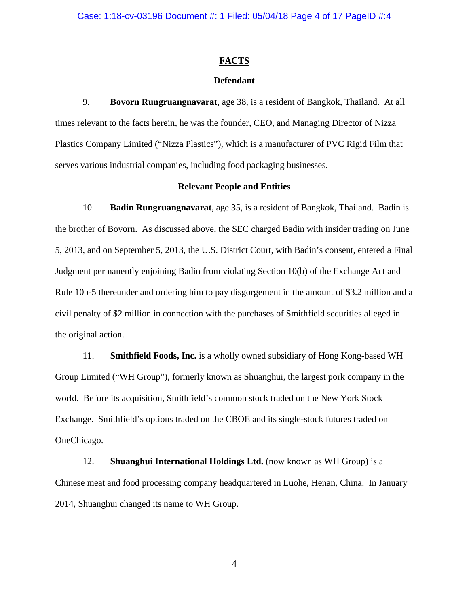Case: 1:18-cv-03196 Document #: 1 Filed: 05/04/18 Page 4 of 17 PageID #:4

# **FACTS**

# **Defendant**

9. **Bovorn Rungruangnavarat**, age 38, is a resident of Bangkok, Thailand. At all times relevant to the facts herein, he was the founder, CEO, and Managing Director of Nizza Plastics Company Limited ("Nizza Plastics"), which is a manufacturer of PVC Rigid Film that serves various industrial companies, including food packaging businesses.

# **Relevant People and Entities**

10. **Badin Rungruangnavarat**, age 35, is a resident of Bangkok, Thailand. Badin is the brother of Bovorn. As discussed above, the SEC charged Badin with insider trading on June 5, 2013, and on September 5, 2013, the U.S. District Court, with Badin's consent, entered a Final Judgment permanently enjoining Badin from violating Section 10(b) of the Exchange Act and Rule 10b-5 thereunder and ordering him to pay disgorgement in the amount of \$3.2 million and a civil penalty of \$2 million in connection with the purchases of Smithfield securities alleged in the original action.

11. **Smithfield Foods, Inc.** is a wholly owned subsidiary of Hong Kong-based WH Group Limited ("WH Group"), formerly known as Shuanghui, the largest pork company in the world. Before its acquisition, Smithfield's common stock traded on the New York Stock Exchange. Smithfield's options traded on the CBOE and its single-stock futures traded on OneChicago.

12. **Shuanghui International Holdings Ltd.** (now known as WH Group) is a Chinese meat and food processing company headquartered in Luohe, Henan, China. In January 2014, Shuanghui changed its name to WH Group.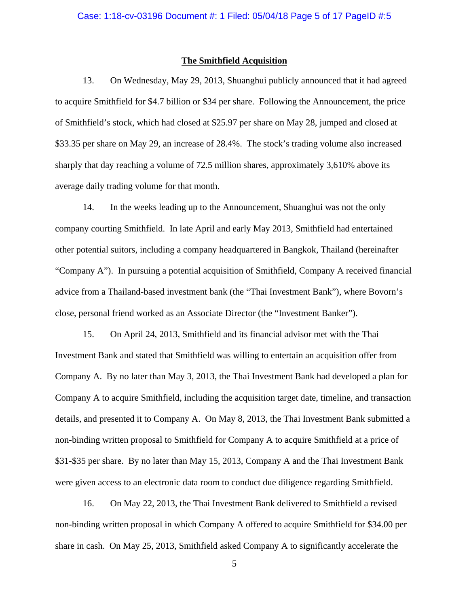### **The Smithfield Acquisition**

13. On Wednesday, May 29, 2013, Shuanghui publicly announced that it had agreed to acquire Smithfield for \$4.7 billion or \$34 per share. Following the Announcement, the price of Smithfield's stock, which had closed at \$25.97 per share on May 28, jumped and closed at \$33.35 per share on May 29, an increase of 28.4%. The stock's trading volume also increased sharply that day reaching a volume of 72.5 million shares, approximately 3,610% above its average daily trading volume for that month.

14. In the weeks leading up to the Announcement, Shuanghui was not the only company courting Smithfield. In late April and early May 2013, Smithfield had entertained other potential suitors, including a company headquartered in Bangkok, Thailand (hereinafter "Company A"). In pursuing a potential acquisition of Smithfield, Company A received financial advice from a Thailand-based investment bank (the "Thai Investment Bank"), where Bovorn's close, personal friend worked as an Associate Director (the "Investment Banker").

15. On April 24, 2013, Smithfield and its financial advisor met with the Thai Investment Bank and stated that Smithfield was willing to entertain an acquisition offer from Company A. By no later than May 3, 2013, the Thai Investment Bank had developed a plan for Company A to acquire Smithfield, including the acquisition target date, timeline, and transaction details, and presented it to Company A. On May 8, 2013, the Thai Investment Bank submitted a non-binding written proposal to Smithfield for Company A to acquire Smithfield at a price of \$31-\$35 per share. By no later than May 15, 2013, Company A and the Thai Investment Bank were given access to an electronic data room to conduct due diligence regarding Smithfield.

16. On May 22, 2013, the Thai Investment Bank delivered to Smithfield a revised non-binding written proposal in which Company A offered to acquire Smithfield for \$34.00 per share in cash. On May 25, 2013, Smithfield asked Company A to significantly accelerate the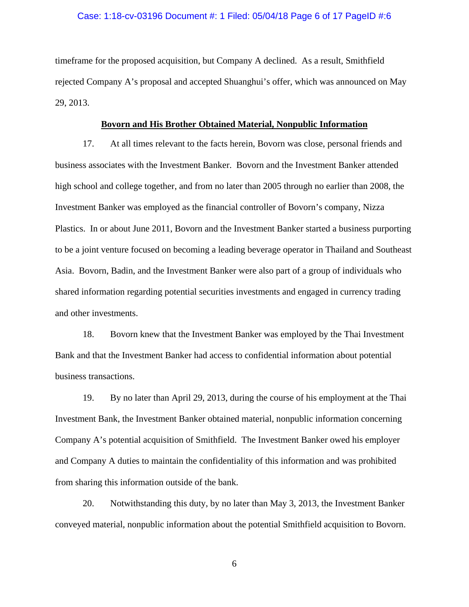### Case: 1:18-cv-03196 Document #: 1 Filed: 05/04/18 Page 6 of 17 PageID #:6

timeframe for the proposed acquisition, but Company A declined. As a result, Smithfield rejected Company A's proposal and accepted Shuanghui's offer, which was announced on May 29, 2013.

# **Bovorn and His Brother Obtained Material, Nonpublic Information**

17. At all times relevant to the facts herein, Bovorn was close, personal friends and business associates with the Investment Banker. Bovorn and the Investment Banker attended high school and college together, and from no later than 2005 through no earlier than 2008, the Investment Banker was employed as the financial controller of Bovorn's company, Nizza Plastics. In or about June 2011, Bovorn and the Investment Banker started a business purporting to be a joint venture focused on becoming a leading beverage operator in Thailand and Southeast Asia. Bovorn, Badin, and the Investment Banker were also part of a group of individuals who shared information regarding potential securities investments and engaged in currency trading and other investments.

18. Bovorn knew that the Investment Banker was employed by the Thai Investment Bank and that the Investment Banker had access to confidential information about potential business transactions.

19. By no later than April 29, 2013, during the course of his employment at the Thai Investment Bank, the Investment Banker obtained material, nonpublic information concerning Company A's potential acquisition of Smithfield. The Investment Banker owed his employer and Company A duties to maintain the confidentiality of this information and was prohibited from sharing this information outside of the bank.

20. Notwithstanding this duty, by no later than May 3, 2013, the Investment Banker conveyed material, nonpublic information about the potential Smithfield acquisition to Bovorn.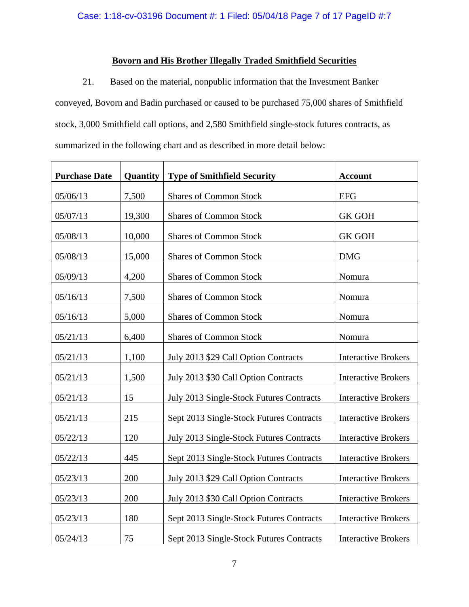# **Bovorn and His Brother Illegally Traded Smithfield Securities**

21. Based on the material, nonpublic information that the Investment Banker conveyed, Bovorn and Badin purchased or caused to be purchased 75,000 shares of Smithfield stock, 3,000 Smithfield call options, and 2,580 Smithfield single-stock futures contracts, as summarized in the following chart and as described in more detail below:

| <b>Purchase Date</b> | Quantity | <b>Type of Smithfield Security</b>       | <b>Account</b>             |
|----------------------|----------|------------------------------------------|----------------------------|
| 05/06/13             | 7,500    | <b>Shares of Common Stock</b>            | <b>EFG</b>                 |
| 05/07/13             | 19,300   | <b>Shares of Common Stock</b>            | <b>GK GOH</b>              |
| 05/08/13             | 10,000   | <b>Shares of Common Stock</b>            | <b>GK GOH</b>              |
| 05/08/13             | 15,000   | <b>Shares of Common Stock</b>            | <b>DMG</b>                 |
| 05/09/13             | 4,200    | <b>Shares of Common Stock</b>            | Nomura                     |
| 05/16/13             | 7,500    | <b>Shares of Common Stock</b>            | Nomura                     |
| 05/16/13             | 5,000    | <b>Shares of Common Stock</b>            | Nomura                     |
| 05/21/13             | 6,400    | <b>Shares of Common Stock</b>            | Nomura                     |
| 05/21/13             | 1,100    | July 2013 \$29 Call Option Contracts     | <b>Interactive Brokers</b> |
| 05/21/13             | 1,500    | July 2013 \$30 Call Option Contracts     | <b>Interactive Brokers</b> |
| 05/21/13             | 15       | July 2013 Single-Stock Futures Contracts | <b>Interactive Brokers</b> |
| 05/21/13             | 215      | Sept 2013 Single-Stock Futures Contracts | <b>Interactive Brokers</b> |
| 05/22/13             | 120      | July 2013 Single-Stock Futures Contracts | <b>Interactive Brokers</b> |
| 05/22/13             | 445      | Sept 2013 Single-Stock Futures Contracts | <b>Interactive Brokers</b> |
| 05/23/13             | 200      | July 2013 \$29 Call Option Contracts     | <b>Interactive Brokers</b> |
| 05/23/13             | 200      | July 2013 \$30 Call Option Contracts     | <b>Interactive Brokers</b> |
| 05/23/13             | 180      | Sept 2013 Single-Stock Futures Contracts | <b>Interactive Brokers</b> |
| 05/24/13             | 75       | Sept 2013 Single-Stock Futures Contracts | <b>Interactive Brokers</b> |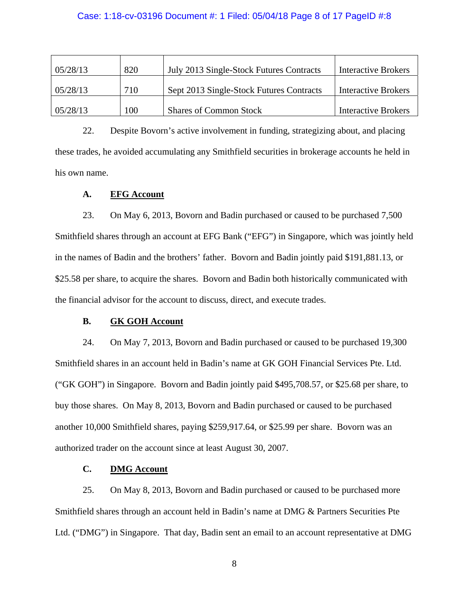### Case: 1:18-cv-03196 Document #: 1 Filed: 05/04/18 Page 8 of 17 PageID #:8

| 05/28/13 | 820 | July 2013 Single-Stock Futures Contracts | <b>Interactive Brokers</b> |
|----------|-----|------------------------------------------|----------------------------|
| 05/28/13 | 710 | Sept 2013 Single-Stock Futures Contracts | <b>Interactive Brokers</b> |
| 05/28/13 | 100 | <b>Shares of Common Stock</b>            | <b>Interactive Brokers</b> |

22. Despite Bovorn's active involvement in funding, strategizing about, and placing these trades, he avoided accumulating any Smithfield securities in brokerage accounts he held in his own name.

# **A. EFG Account**

23. On May 6, 2013, Bovorn and Badin purchased or caused to be purchased 7,500 Smithfield shares through an account at EFG Bank ("EFG") in Singapore, which was jointly held in the names of Badin and the brothers' father. Bovorn and Badin jointly paid \$191,881.13, or \$25.58 per share, to acquire the shares. Bovorn and Badin both historically communicated with the financial advisor for the account to discuss, direct, and execute trades.

# **B. GK GOH Account**

24. On May 7, 2013, Bovorn and Badin purchased or caused to be purchased 19,300 Smithfield shares in an account held in Badin's name at GK GOH Financial Services Pte. Ltd. ("GK GOH") in Singapore. Bovorn and Badin jointly paid \$495,708.57, or \$25.68 per share, to buy those shares. On May 8, 2013, Bovorn and Badin purchased or caused to be purchased another 10,000 Smithfield shares, paying \$259,917.64, or \$25.99 per share. Bovorn was an authorized trader on the account since at least August 30, 2007.

# **C. DMG Account**

25. On May 8, 2013, Bovorn and Badin purchased or caused to be purchased more Smithfield shares through an account held in Badin's name at DMG & Partners Securities Pte Ltd. ("DMG") in Singapore. That day, Badin sent an email to an account representative at DMG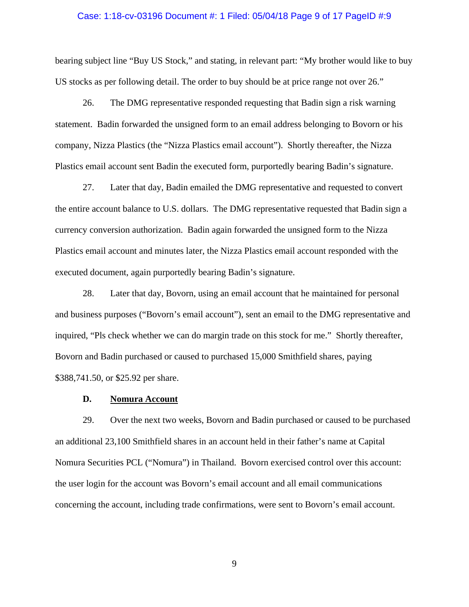#### Case: 1:18-cv-03196 Document #: 1 Filed: 05/04/18 Page 9 of 17 PageID #:9

bearing subject line "Buy US Stock," and stating, in relevant part: "My brother would like to buy US stocks as per following detail. The order to buy should be at price range not over 26."

26. The DMG representative responded requesting that Badin sign a risk warning statement. Badin forwarded the unsigned form to an email address belonging to Bovorn or his company, Nizza Plastics (the "Nizza Plastics email account"). Shortly thereafter, the Nizza Plastics email account sent Badin the executed form, purportedly bearing Badin's signature.

27. Later that day, Badin emailed the DMG representative and requested to convert the entire account balance to U.S. dollars. The DMG representative requested that Badin sign a currency conversion authorization. Badin again forwarded the unsigned form to the Nizza Plastics email account and minutes later, the Nizza Plastics email account responded with the executed document, again purportedly bearing Badin's signature.

28. Later that day, Bovorn, using an email account that he maintained for personal and business purposes ("Bovorn's email account"), sent an email to the DMG representative and inquired, "Pls check whether we can do margin trade on this stock for me." Shortly thereafter, Bovorn and Badin purchased or caused to purchased 15,000 Smithfield shares, paying \$388,741.50, or \$25.92 per share.

### **D. Nomura Account**

29. Over the next two weeks, Bovorn and Badin purchased or caused to be purchased an additional 23,100 Smithfield shares in an account held in their father's name at Capital Nomura Securities PCL ("Nomura") in Thailand. Bovorn exercised control over this account: the user login for the account was Bovorn's email account and all email communications concerning the account, including trade confirmations, were sent to Bovorn's email account.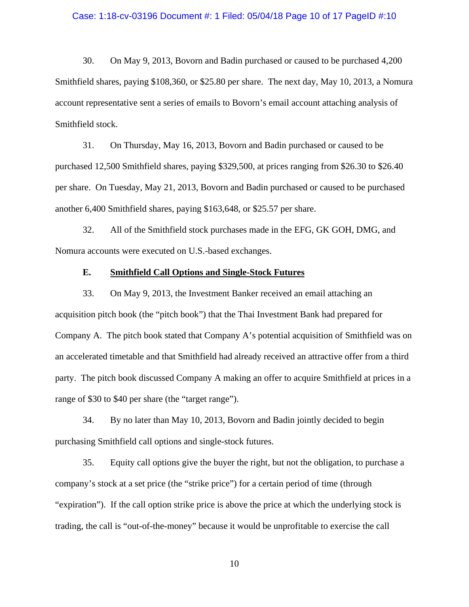#### Case: 1:18-cv-03196 Document #: 1 Filed: 05/04/18 Page 10 of 17 PageID #:10

30. On May 9, 2013, Bovorn and Badin purchased or caused to be purchased 4,200 Smithfield shares, paying \$108,360, or \$25.80 per share. The next day, May 10, 2013, a Nomura account representative sent a series of emails to Bovorn's email account attaching analysis of Smithfield stock.

31. On Thursday, May 16, 2013, Bovorn and Badin purchased or caused to be purchased 12,500 Smithfield shares, paying \$329,500, at prices ranging from \$26.30 to \$26.40 per share. On Tuesday, May 21, 2013, Bovorn and Badin purchased or caused to be purchased another 6,400 Smithfield shares, paying \$163,648, or \$25.57 per share.

32. All of the Smithfield stock purchases made in the EFG, GK GOH, DMG, and Nomura accounts were executed on U.S.-based exchanges.

# **E. Smithfield Call Options and Single-Stock Futures**

33. On May 9, 2013, the Investment Banker received an email attaching an acquisition pitch book (the "pitch book") that the Thai Investment Bank had prepared for Company A. The pitch book stated that Company A's potential acquisition of Smithfield was on an accelerated timetable and that Smithfield had already received an attractive offer from a third party. The pitch book discussed Company A making an offer to acquire Smithfield at prices in a range of \$30 to \$40 per share (the "target range").

34. By no later than May 10, 2013, Bovorn and Badin jointly decided to begin purchasing Smithfield call options and single-stock futures.

35. Equity call options give the buyer the right, but not the obligation, to purchase a company's stock at a set price (the "strike price") for a certain period of time (through "expiration"). If the call option strike price is above the price at which the underlying stock is trading, the call is "out-of-the-money" because it would be unprofitable to exercise the call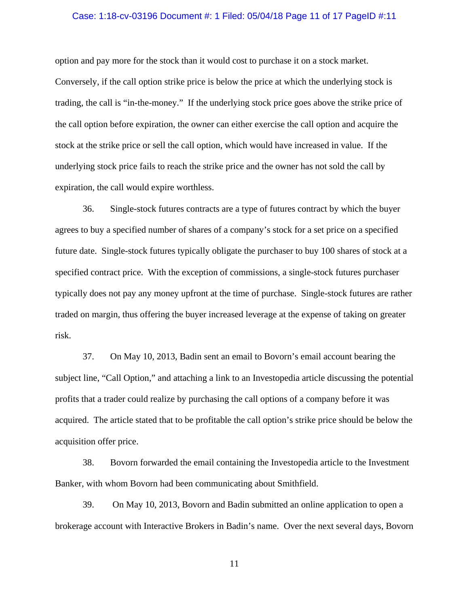#### Case: 1:18-cv-03196 Document #: 1 Filed: 05/04/18 Page 11 of 17 PageID #:11

option and pay more for the stock than it would cost to purchase it on a stock market. Conversely, if the call option strike price is below the price at which the underlying stock is trading, the call is "in-the-money." If the underlying stock price goes above the strike price of the call option before expiration, the owner can either exercise the call option and acquire the stock at the strike price or sell the call option, which would have increased in value. If the underlying stock price fails to reach the strike price and the owner has not sold the call by expiration, the call would expire worthless.

36. Single-stock futures contracts are a type of futures contract by which the buyer agrees to buy a specified number of shares of a company's stock for a set price on a specified future date. Single-stock futures typically obligate the purchaser to buy 100 shares of stock at a specified contract price. With the exception of commissions, a single-stock futures purchaser typically does not pay any money upfront at the time of purchase. Single-stock futures are rather traded on margin, thus offering the buyer increased leverage at the expense of taking on greater risk.

37. On May 10, 2013, Badin sent an email to Bovorn's email account bearing the subject line, "Call Option," and attaching a link to an Investopedia article discussing the potential profits that a trader could realize by purchasing the call options of a company before it was acquired. The article stated that to be profitable the call option's strike price should be below the acquisition offer price.

38. Bovorn forwarded the email containing the Investopedia article to the Investment Banker, with whom Bovorn had been communicating about Smithfield.

39. On May 10, 2013, Bovorn and Badin submitted an online application to open a brokerage account with Interactive Brokers in Badin's name. Over the next several days, Bovorn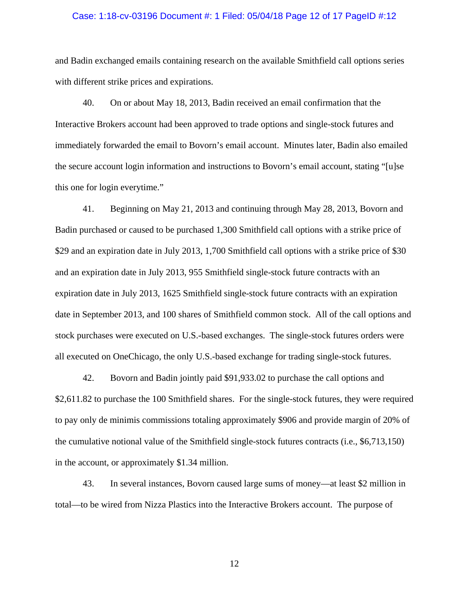#### Case: 1:18-cv-03196 Document #: 1 Filed: 05/04/18 Page 12 of 17 PageID #:12

and Badin exchanged emails containing research on the available Smithfield call options series with different strike prices and expirations.

40. On or about May 18, 2013, Badin received an email confirmation that the Interactive Brokers account had been approved to trade options and single-stock futures and immediately forwarded the email to Bovorn's email account. Minutes later, Badin also emailed the secure account login information and instructions to Bovorn's email account, stating "[u]se this one for login everytime."

41. Beginning on May 21, 2013 and continuing through May 28, 2013, Bovorn and Badin purchased or caused to be purchased 1,300 Smithfield call options with a strike price of \$29 and an expiration date in July 2013, 1,700 Smithfield call options with a strike price of \$30 and an expiration date in July 2013, 955 Smithfield single-stock future contracts with an expiration date in July 2013, 1625 Smithfield single-stock future contracts with an expiration date in September 2013, and 100 shares of Smithfield common stock. All of the call options and stock purchases were executed on U.S.-based exchanges. The single-stock futures orders were all executed on OneChicago, the only U.S.-based exchange for trading single-stock futures.

42. Bovorn and Badin jointly paid \$91,933.02 to purchase the call options and \$2,611.82 to purchase the 100 Smithfield shares. For the single-stock futures, they were required to pay only de minimis commissions totaling approximately \$906 and provide margin of 20% of the cumulative notional value of the Smithfield single-stock futures contracts (i.e., \$6,713,150) in the account, or approximately \$1.34 million.

43. In several instances, Bovorn caused large sums of money—at least \$2 million in total—to be wired from Nizza Plastics into the Interactive Brokers account. The purpose of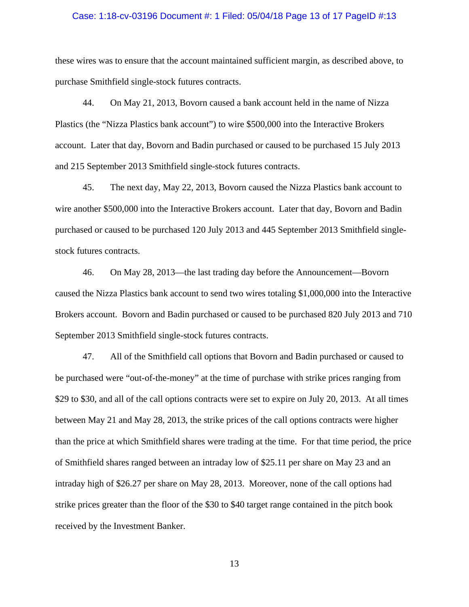#### Case: 1:18-cv-03196 Document #: 1 Filed: 05/04/18 Page 13 of 17 PageID #:13

these wires was to ensure that the account maintained sufficient margin, as described above, to purchase Smithfield single-stock futures contracts.

44. On May 21, 2013, Bovorn caused a bank account held in the name of Nizza Plastics (the "Nizza Plastics bank account") to wire \$500,000 into the Interactive Brokers account. Later that day, Bovorn and Badin purchased or caused to be purchased 15 July 2013 and 215 September 2013 Smithfield single-stock futures contracts.

45. The next day, May 22, 2013, Bovorn caused the Nizza Plastics bank account to wire another \$500,000 into the Interactive Brokers account. Later that day, Bovorn and Badin purchased or caused to be purchased 120 July 2013 and 445 September 2013 Smithfield singlestock futures contracts.

46. On May 28, 2013—the last trading day before the Announcement—Bovorn caused the Nizza Plastics bank account to send two wires totaling \$1,000,000 into the Interactive Brokers account. Bovorn and Badin purchased or caused to be purchased 820 July 2013 and 710 September 2013 Smithfield single-stock futures contracts.

47. All of the Smithfield call options that Bovorn and Badin purchased or caused to be purchased were "out-of-the-money" at the time of purchase with strike prices ranging from \$29 to \$30, and all of the call options contracts were set to expire on July 20, 2013. At all times between May 21 and May 28, 2013, the strike prices of the call options contracts were higher than the price at which Smithfield shares were trading at the time. For that time period, the price of Smithfield shares ranged between an intraday low of \$25.11 per share on May 23 and an intraday high of \$26.27 per share on May 28, 2013. Moreover, none of the call options had strike prices greater than the floor of the \$30 to \$40 target range contained in the pitch book received by the Investment Banker.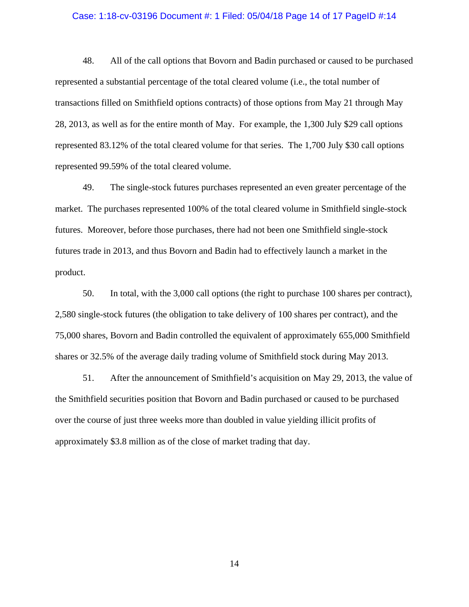#### Case: 1:18-cv-03196 Document #: 1 Filed: 05/04/18 Page 14 of 17 PageID #:14

48. All of the call options that Bovorn and Badin purchased or caused to be purchased represented a substantial percentage of the total cleared volume (i.e., the total number of transactions filled on Smithfield options contracts) of those options from May 21 through May 28, 2013, as well as for the entire month of May. For example, the 1,300 July \$29 call options represented 83.12% of the total cleared volume for that series. The 1,700 July \$30 call options represented 99.59% of the total cleared volume.

49. The single-stock futures purchases represented an even greater percentage of the market. The purchases represented 100% of the total cleared volume in Smithfield single-stock futures. Moreover, before those purchases, there had not been one Smithfield single-stock futures trade in 2013, and thus Bovorn and Badin had to effectively launch a market in the product.

50. In total, with the 3,000 call options (the right to purchase 100 shares per contract), 2,580 single-stock futures (the obligation to take delivery of 100 shares per contract), and the 75,000 shares, Bovorn and Badin controlled the equivalent of approximately 655,000 Smithfield shares or 32.5% of the average daily trading volume of Smithfield stock during May 2013.

51. After the announcement of Smithfield's acquisition on May 29, 2013, the value of the Smithfield securities position that Bovorn and Badin purchased or caused to be purchased over the course of just three weeks more than doubled in value yielding illicit profits of approximately \$3.8 million as of the close of market trading that day.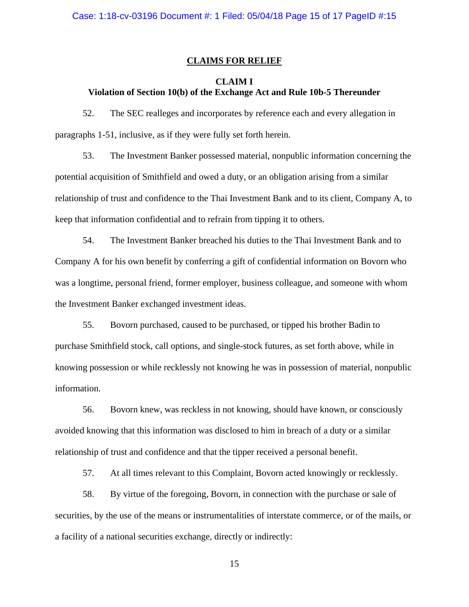# **CLAIMS FOR RELIEF**

# **CLAIM I Violation of Section 10(b) of the Exchange Act and Rule 10b-5 Thereunder**

52. The SEC realleges and incorporates by reference each and every allegation in paragraphs 1-51, inclusive, as if they were fully set forth herein.

53. The Investment Banker possessed material, nonpublic information concerning the potential acquisition of Smithfield and owed a duty, or an obligation arising from a similar relationship of trust and confidence to the Thai Investment Bank and to its client, Company A, to keep that information confidential and to refrain from tipping it to others.

54. The Investment Banker breached his duties to the Thai Investment Bank and to Company A for his own benefit by conferring a gift of confidential information on Bovorn who was a longtime, personal friend, former employer, business colleague, and someone with whom the Investment Banker exchanged investment ideas.

55. Bovorn purchased, caused to be purchased, or tipped his brother Badin to purchase Smithfield stock, call options, and single-stock futures, as set forth above, while in knowing possession or while recklessly not knowing he was in possession of material, nonpublic information.

56. Bovorn knew, was reckless in not knowing, should have known, or consciously avoided knowing that this information was disclosed to him in breach of a duty or a similar relationship of trust and confidence and that the tipper received a personal benefit.

57. At all times relevant to this Complaint, Bovorn acted knowingly or recklessly.

58. By virtue of the foregoing, Bovorn, in connection with the purchase or sale of securities, by the use of the means or instrumentalities of interstate commerce, or of the mails, or a facility of a national securities exchange, directly or indirectly: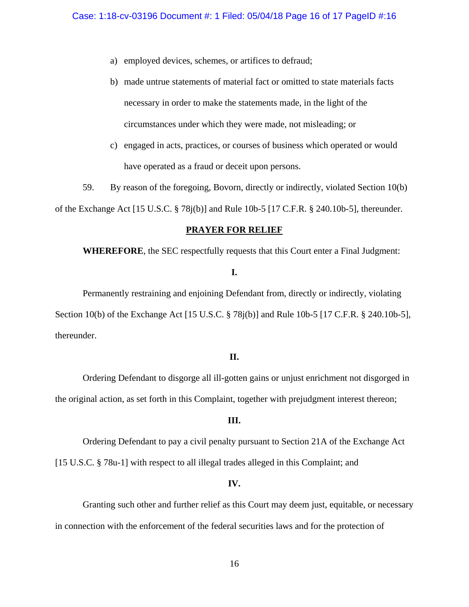- a) employed devices, schemes, or artifices to defraud;
- b) made untrue statements of material fact or omitted to state materials facts necessary in order to make the statements made, in the light of the circumstances under which they were made, not misleading; or
- c) engaged in acts, practices, or courses of business which operated or would have operated as a fraud or deceit upon persons.

59. By reason of the foregoing, Bovorn, directly or indirectly, violated Section 10(b) of the Exchange Act [15 U.S.C. § 78j(b)] and Rule 10b-5 [17 C.F.R. § 240.10b-5], thereunder.

### **PRAYER FOR RELIEF**

**WHEREFORE**, the SEC respectfully requests that this Court enter a Final Judgment:

### **I.**

Permanently restraining and enjoining Defendant from, directly or indirectly, violating Section 10(b) of the Exchange Act [15 U.S.C. § 78j(b)] and Rule 10b-5 [17 C.F.R. § 240.10b-5], thereunder.

# **II.**

Ordering Defendant to disgorge all ill-gotten gains or unjust enrichment not disgorged in the original action, as set forth in this Complaint, together with prejudgment interest thereon;

### **III.**

 Ordering Defendant to pay a civil penalty pursuant to Section 21A of the Exchange Act [15 U.S.C. § 78u-1] with respect to all illegal trades alleged in this Complaint; and

### **IV.**

 Granting such other and further relief as this Court may deem just, equitable, or necessary in connection with the enforcement of the federal securities laws and for the protection of